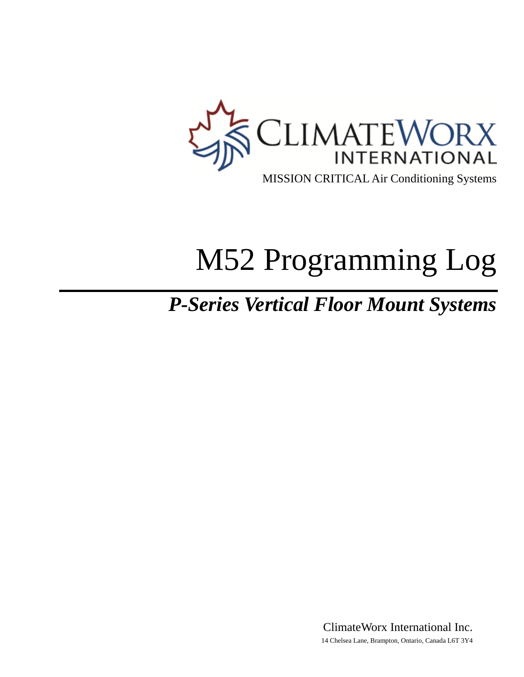

# M52 Programming Log

## *P-Series Vertical Floor Mount Systems*

ClimateWorx International Inc. 14 Chelsea Lane, Brampton, Ontario, Canada L6T 3Y4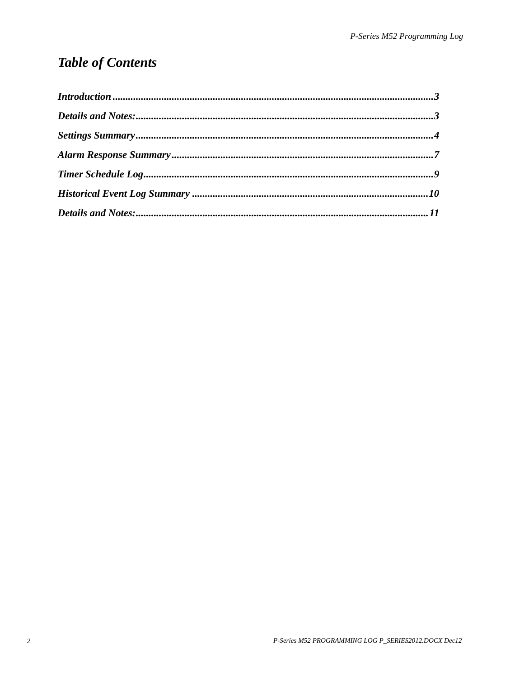## **Table of Contents**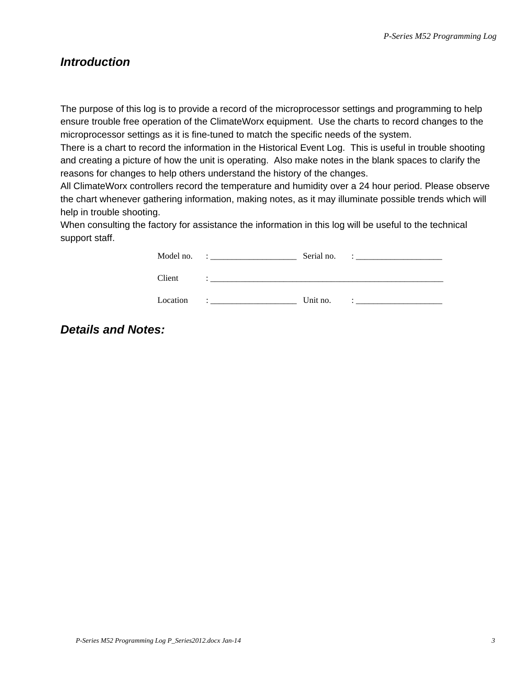#### <span id="page-2-0"></span>*Introduction*

The purpose of this log is to provide a record of the microprocessor settings and programming to help ensure trouble free operation of the ClimateWorx equipment. Use the charts to record changes to the microprocessor settings as it is fine-tuned to match the specific needs of the system.

There is a chart to record the information in the Historical Event Log. This is useful in trouble shooting and creating a picture of how the unit is operating. Also make notes in the blank spaces to clarify the reasons for changes to help others understand the history of the changes.

All ClimateWorx controllers record the temperature and humidity over a 24 hour period. Please observe the chart whenever gathering information, making notes, as it may illuminate possible trends which will help in trouble shooting.

When consulting the factory for assistance the information in this log will be useful to the technical support staff.

| Model no. | Serial no. |  |
|-----------|------------|--|
| Client    |            |  |
| Location  | Unit no.   |  |

#### *Details and Notes:*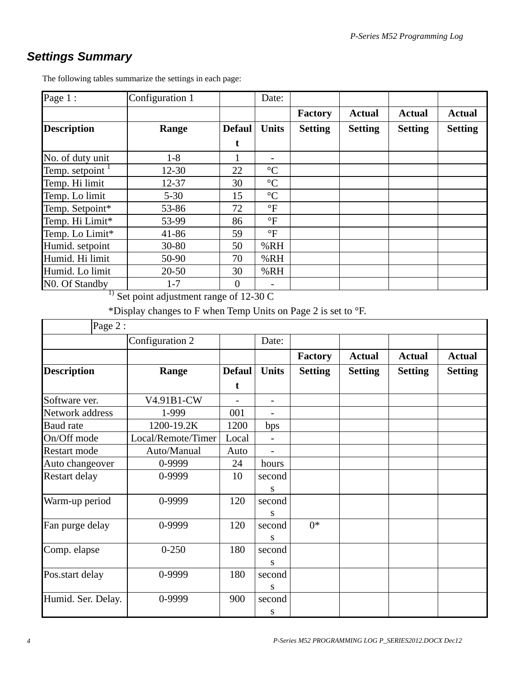### <span id="page-3-0"></span>*Settings Summary*

| Page 1:                     | Configuration 1 |                | Date:                    |                |                |                |                |
|-----------------------------|-----------------|----------------|--------------------------|----------------|----------------|----------------|----------------|
|                             |                 |                |                          | Factory        | <b>Actual</b>  | <b>Actual</b>  | <b>Actual</b>  |
| <b>Description</b>          | Range           | <b>Defaul</b>  | <b>Units</b>             | <b>Setting</b> | <b>Setting</b> | <b>Setting</b> | <b>Setting</b> |
|                             |                 | t              |                          |                |                |                |                |
| No. of duty unit            | $1 - 8$         |                |                          |                |                |                |                |
| Temp. setpoint $1$          | $12 - 30$       | 22             | $\rm ^{\circ}C$          |                |                |                |                |
| Temp. Hi limit              | 12-37           | 30             | $\rm ^{\circ}C$          |                |                |                |                |
| Temp. Lo limit              | $5 - 30$        | 15             | $\rm ^{\circ}C$          |                |                |                |                |
| Temp. Setpoint*             | 53-86           | 72             | $\rm ^{\circ}F$          |                |                |                |                |
| Temp. Hi Limit*             | 53-99           | 86             | $\rm ^{\circ}F$          |                |                |                |                |
| Temp. Lo Limit*             | $41 - 86$       | 59             | $\circ$ F                |                |                |                |                |
| Humid. setpoint             | $30 - 80$       | 50             | %RH                      |                |                |                |                |
| Humid. Hi limit             | 50-90           | 70             | %RH                      |                |                |                |                |
| Humid. Lo limit             | $20 - 50$       | 30             | %RH                      |                |                |                |                |
| N <sub>0</sub> . Of Standby | $1 - 7$         | $\overline{0}$ | $\overline{\phantom{a}}$ |                |                |                |                |

The following tables summarize the settings in each page:

 $\frac{1}{1}$  Set point adjustment range of 12-30 C

\*Display changes to F when Temp Units on Page 2 is set to °F.

| Page 2:             |                    |                          |                          |                |                |                |                |
|---------------------|--------------------|--------------------------|--------------------------|----------------|----------------|----------------|----------------|
|                     | Configuration 2    |                          | Date:                    |                |                |                |                |
|                     |                    |                          |                          | <b>Factory</b> | <b>Actual</b>  | <b>Actual</b>  | <b>Actual</b>  |
| <b>Description</b>  | Range              | <b>Defaul</b><br>t       | <b>Units</b>             | <b>Setting</b> | <b>Setting</b> | <b>Setting</b> | <b>Setting</b> |
| Software ver.       | V4.91B1-CW         | $\overline{\phantom{0}}$ | $\overline{\phantom{a}}$ |                |                |                |                |
| Network address     | 1-999              | 001                      |                          |                |                |                |                |
| <b>Baud</b> rate    | 1200-19.2K         | 1200                     | bps                      |                |                |                |                |
| On/Off mode         | Local/Remote/Timer | Local                    |                          |                |                |                |                |
| <b>Restart mode</b> | Auto/Manual        | Auto                     | $\blacksquare$           |                |                |                |                |
| Auto changeover     | 0-9999             | 24                       | hours                    |                |                |                |                |
| Restart delay       | 0-9999             | 10                       | second<br>S              |                |                |                |                |
| Warm-up period      | 0-9999             | 120                      | second<br>S              |                |                |                |                |
| Fan purge delay     | 0-9999             | 120                      | second<br>S              | $0*$           |                |                |                |
| Comp. elapse        | $0 - 250$          | 180                      | second<br>S              |                |                |                |                |
| Pos.start delay     | 0-9999             | 180                      | second<br>S              |                |                |                |                |
| Humid. Ser. Delay.  | 0-9999             | 900                      | second<br>S              |                |                |                |                |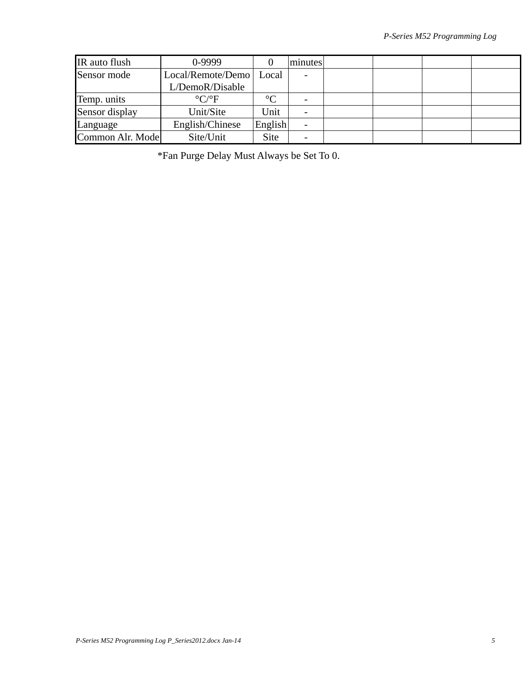| IR auto flush    | 0-9999                        |         | minutes |  |  |
|------------------|-------------------------------|---------|---------|--|--|
| Sensor mode      | Local/Remote/Demo             | Local   |         |  |  |
|                  | L/DemoR/Disable               |         |         |  |  |
| Temp. units      | $\rm ^{\circ}C/\rm ^{\circ}F$ | $\circ$ |         |  |  |
| Sensor display   | Unit/Site                     | Unit    |         |  |  |
| Language         | English/Chinese               | English |         |  |  |
| Common Alr. Mode | Site/Unit                     | Site    |         |  |  |

\*Fan Purge Delay Must Always be Set To 0.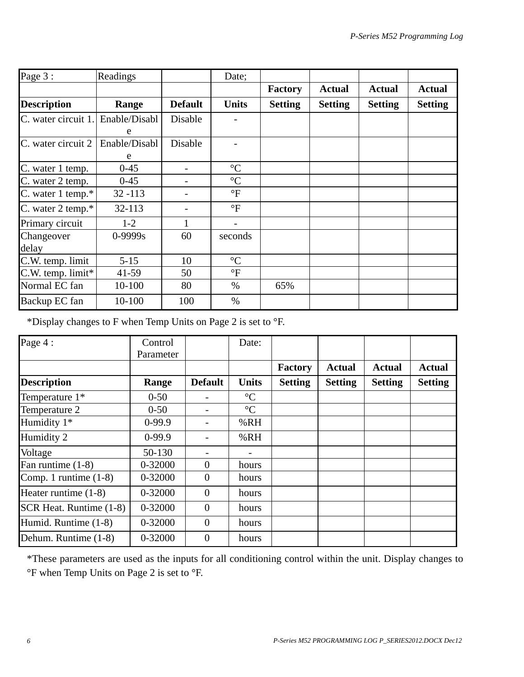| Page 3:             | Readings      |                | Date;           |                |                |                |                |
|---------------------|---------------|----------------|-----------------|----------------|----------------|----------------|----------------|
|                     |               |                |                 | Factory        | <b>Actual</b>  | <b>Actual</b>  | <b>Actual</b>  |
| <b>Description</b>  | Range         | <b>Default</b> | <b>Units</b>    | <b>Setting</b> | <b>Setting</b> | <b>Setting</b> | <b>Setting</b> |
| C. water circuit 1. | Enable/Disabl | Disable        |                 |                |                |                |                |
|                     | e             |                |                 |                |                |                |                |
| C. water circuit 2  | Enable/Disabl | Disable        |                 |                |                |                |                |
|                     | e             |                |                 |                |                |                |                |
| C. water 1 temp.    | $0 - 45$      |                | $\rm ^{\circ}C$ |                |                |                |                |
| C. water 2 temp.    | $0 - 45$      |                | $\rm ^{\circ}C$ |                |                |                |                |
| C. water 1 temp.*   | $32 - 113$    |                | $\mathrm{P}$    |                |                |                |                |
| C. water 2 temp.*   | 32-113        |                | $\circ$ F       |                |                |                |                |
| Primary circuit     | $1 - 2$       | 1              |                 |                |                |                |                |
| Changeover          | $0 - 9999s$   | 60             | seconds         |                |                |                |                |
| delay               |               |                |                 |                |                |                |                |
| C.W. temp. limit    | $5 - 15$      | 10             | $\rm ^{\circ}C$ |                |                |                |                |
| C.W. temp. limit*   | $41 - 59$     | 50             | $\mathrm{P}$    |                |                |                |                |
| Normal EC fan       | 10-100        | 80             | $\%$            | 65%            |                |                |                |
| Backup EC fan       | 10-100        | 100            | $\%$            |                |                |                |                |

\*Display changes to F when Temp Units on Page 2 is set to °F.

| Page 4:                 | Control   |                | Date:           |                |                |                |                |
|-------------------------|-----------|----------------|-----------------|----------------|----------------|----------------|----------------|
|                         | Parameter |                |                 |                |                |                |                |
|                         |           |                |                 | <b>Factory</b> | <b>Actual</b>  | <b>Actual</b>  | <b>Actual</b>  |
| <b>Description</b>      | Range     | <b>Default</b> | <b>Units</b>    | <b>Setting</b> | <b>Setting</b> | <b>Setting</b> | <b>Setting</b> |
| Temperature 1*          | $0 - 50$  |                | $\rm ^{\circ}C$ |                |                |                |                |
| Temperature 2           | $0 - 50$  |                | $\rm ^{\circ}C$ |                |                |                |                |
| Humidity 1*             | $0-99.9$  |                | %RH             |                |                |                |                |
| Humidity 2              | $0-99.9$  |                | %RH             |                |                |                |                |
| Voltage                 | 50-130    |                |                 |                |                |                |                |
| Fan runtime (1-8)       | 0-32000   | $\overline{0}$ | hours           |                |                |                |                |
| Comp. 1 runtime (1-8)   | 0-32000   | $\Omega$       | hours           |                |                |                |                |
| Heater runtime $(1-8)$  | 0-32000   | $\theta$       | hours           |                |                |                |                |
| SCR Heat. Runtime (1-8) | 0-32000   | $\theta$       | hours           |                |                |                |                |
| Humid. Runtime (1-8)    | 0-32000   | $\Omega$       | hours           |                |                |                |                |
| Dehum. Runtime (1-8)    | 0-32000   | $\overline{0}$ | hours           |                |                |                |                |

\*These parameters are used as the inputs for all conditioning control within the unit. Display changes to °F when Temp Units on Page 2 is set to °F.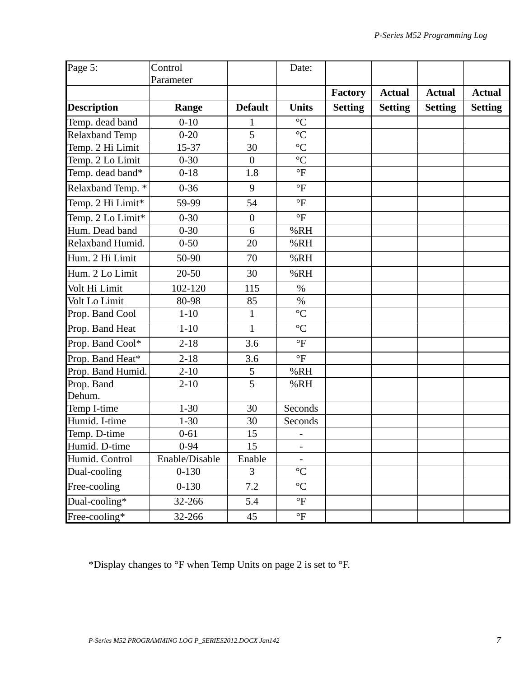| Page 5:               | Control        |                  | Date:                    |                |                |                |                |
|-----------------------|----------------|------------------|--------------------------|----------------|----------------|----------------|----------------|
|                       | Parameter      |                  |                          |                |                |                |                |
|                       |                |                  |                          | Factory        | <b>Actual</b>  | <b>Actual</b>  | <b>Actual</b>  |
| <b>Description</b>    | Range          | <b>Default</b>   | <b>Units</b>             | <b>Setting</b> | <b>Setting</b> | <b>Setting</b> | <b>Setting</b> |
| Temp. dead band       | $0 - 10$       |                  | $\rm ^{\circ}C$          |                |                |                |                |
| <b>Relaxband Temp</b> | $0 - 20$       | 5                | $\overline{C}$           |                |                |                |                |
| Temp. 2 Hi Limit      | 15-37          | 30               | $\rm ^{\circ}C$          |                |                |                |                |
| Temp. 2 Lo Limit      | $0 - 30$       | $\boldsymbol{0}$ | $\rm ^{\circ}C$          |                |                |                |                |
| Temp. dead band*      | $0 - 18$       | 1.8              | $\mathrm{P}$             |                |                |                |                |
| Relaxband Temp. *     | $0 - 36$       | 9                | $\mathrm{^{\circ}F}$     |                |                |                |                |
| Temp. 2 Hi Limit*     | 59-99          | 54               | $\mathrm{P}$             |                |                |                |                |
| Temp. 2 Lo Limit*     | $0 - 30$       | $\overline{0}$   | $\mathrm{^{\circ}F}$     |                |                |                |                |
| Hum. Dead band        | $0 - 30$       | 6                | %RH                      |                |                |                |                |
| Relaxband Humid.      | $0 - 50$       | 20               | %RH                      |                |                |                |                |
| Hum. 2 Hi Limit       | 50-90          | 70               | %RH                      |                |                |                |                |
| Hum. 2 Lo Limit       | $20 - 50$      | 30               | %RH                      |                |                |                |                |
| Volt Hi Limit         | 102-120        | 115              | $\%$                     |                |                |                |                |
| Volt Lo Limit         | 80-98          | 85               | $\%$                     |                |                |                |                |
| Prop. Band Cool       | $1 - 10$       | $\mathbf{1}$     | $\rm ^{\circ}C$          |                |                |                |                |
| Prop. Band Heat       | $1 - 10$       | 1                | $\rm ^{\circ}C$          |                |                |                |                |
| Prop. Band Cool*      | $2 - 18$       | 3.6              | $\mathrm{P}$             |                |                |                |                |
| Prop. Band Heat*      | $2 - 18$       | 3.6              | $\circ$ F                |                |                |                |                |
| Prop. Band Humid.     | $2 - 10$       | 5                | %RH                      |                |                |                |                |
| Prop. Band            | $2 - 10$       | $\overline{5}$   | %RH                      |                |                |                |                |
| Dehum.                |                |                  |                          |                |                |                |                |
| Temp I-time           | $1 - 30$       | 30               | Seconds                  |                |                |                |                |
| Humid. I-time         | $1 - 30$       | 30               | Seconds                  |                |                |                |                |
| Temp. D-time          | $0 - 61$       | 15               |                          |                |                |                |                |
| Humid. D-time         | $0 - 94$       | 15               | $\overline{\phantom{a}}$ |                |                |                |                |
| Humid. Control        | Enable/Disable | Enable           |                          |                |                |                |                |
| Dual-cooling          | $0 - 130$      | $\overline{3}$   | $\rm ^{\circ}C$          |                |                |                |                |
| Free-cooling          | $0 - 130$      | 7.2              | $\rm ^{\circ}C$          |                |                |                |                |
| Dual-cooling*         | 32-266         | 5.4              | $\mathrm{P}$             |                |                |                |                |
| Free-cooling*         | 32-266         | 45               | $\mathrm{^{\circ}F}$     |                |                |                |                |

\*Display changes to °F when Temp Units on page 2 is set to °F.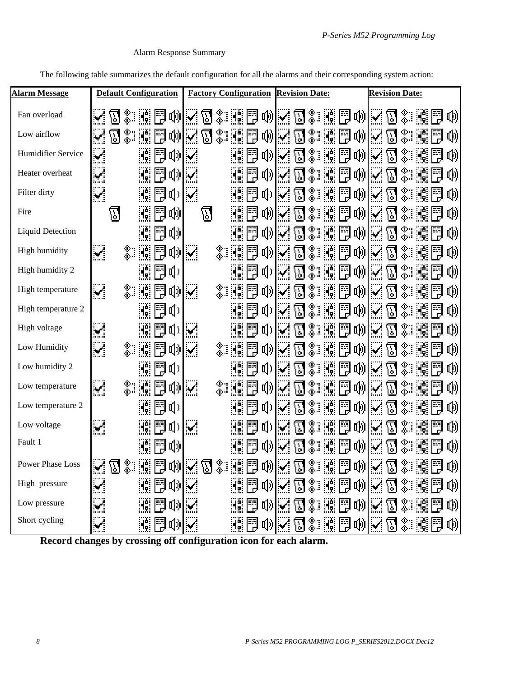#### Alarm Response Summary

<span id="page-7-0"></span>The following table summarizes the default configuration for all the alarms and their corresponding system action:

| <b>Alarm Message</b>    |                             | <b>Default Configuration</b>           |                                   | <b>Factory Configuration</b> |                                     |              |    |              |                          |                       | <b>Revision Date:</b> |                       |                                      | <b>Revision Date:</b>       |                    |           |                     |    |   |
|-------------------------|-----------------------------|----------------------------------------|-----------------------------------|------------------------------|-------------------------------------|--------------|----|--------------|--------------------------|-----------------------|-----------------------|-----------------------|--------------------------------------|-----------------------------|--------------------|-----------|---------------------|----|---|
| Fan overload            |                             |                                        | 吶                                 |                              |                                     |              | F  |              | τ∭∽                      | ${\bf E}$             | ぷ.                    | 鬥                     | 吶                                    | $\checkmark$                |                    |           |                     |    | 吶 |
| Low airflow             | $\boxdot$<br>$\sim$         | ▒.∶<br>H.                              | 吶                                 | Ø                            | ▒.∶                                 |              | 翻  | 咧又           |                          | $\mathbb{Z}$          | ఘ.                    | 體固                    | 吶                                    | $\mathbf{v}'$               | $\mathbb{E}$       |           |                     |    | 吶 |
| Humidifier Service      | $\checkmark$                | 鬥                                      | 마)                                | $\sim$                       |                                     |              | 閇  | 1) √         |                          | $\mathbb{E}$          | %∷                    | 聽國                    | 吶                                    | $\mathbf{v}$                | ${\bf E}$          | ▓         |                     | 閇  | 吶 |
| Heater overheat         | $\checkmark$                | 闓<br>H.                                | 마)                                |                              |                                     |              | FĘ | τ则✓          |                          | $\mathbb{E}$          | -900)<br>-000         | 體固                    | 啲                                    | $\mathcal{L}$               | ${\bf E}$          |           | H.                  | 閇  | 吶 |
| Filter dirty            | $\checkmark$                | 的<br>H.                                | $\mathfrak{q}_0$                  | $\sim$                       |                                     |              |    | 미            | $\blacktriangleright$    | M                     | ⊛.∶                   | 围<br>۳Ç.              | 吣                                    | $\overline{\phantom{a}}$    | ${\bf E}$          | ‰         |                     |    | 吶 |
| Fire                    | $\nabla$                    | 뜪<br>۸¢                                | 呦                                 | <u>闪</u>                     |                                     |              |    | τ∭∽          |                          |                       | ≪                     | 瓣圈                    | 吶                                    | $\sim$                      | M                  | ⊗∵<br>Փա  |                     |    | 吶 |
| <b>Liquid Detection</b> |                             | 語                                      | <b>叫</b> 》                        |                              |                                     |              | FJ | 매시           |                          |                       |                       | 閸                     | 吶                                    | $\sim$                      | $\mathbb{E}$       |           |                     |    | 吶 |
| High humidity           | $\mathbf{v}'$               | ⊗∵<br>Փ<br>Ħ<br>H.                     | 吣                                 | $\mathcal{L}_{\mathcal{A}}$  |                                     |              | 閇  | 的            |                          |                       |                       | 閇                     | 吶                                    | $\mathcal{A}$               |                    |           |                     |    | 吶 |
| High humidity 2         |                             | F                                      | <b>I</b>                          |                              |                                     |              |    | <b>d</b>     |                          |                       |                       | 翻                     | 吶                                    |                             |                    |           |                     |    | 吶 |
| High temperature        | $\blacktriangledown$        | ⊗.։<br>Ֆ<br>ð<br>Hģ.                   | 아                                 | $\mathcal{L}_{\mathcal{A}}$  |                                     |              |    | 이기           |                          |                       |                       | 閇                     | 吶                                    | $\mathcal{L}$               |                    |           |                     |    | 吶 |
| High temperature 2      |                             | ð<br>H.                                | ηJ)                               |                              |                                     |              | 閇  | 따기           |                          |                       |                       | 瓣圆                    | 吶                                    | $\sim$                      | E                  |           |                     |    | 吶 |
| High voltage            | ×                           | 閇                                      | (1)                               | $\sim$                       |                                     |              | 閇  | 미)           | $\blacktriangleright$    | $\mathbb{E}% _{t}$    | ⊗∵<br>Փ               |                       | 體問帆                                  | $\mathcal{L}_{\mathcal{A}}$ | $\bm{\mathcal{B}}$ | ▓         |                     | 閇  | 吶 |
| Low Humidity            | $\blacktriangledown$        | ⊗∷<br>闓<br>H.                          | 매                                 | $\mathbf{v}$                 |                                     | 體問           |    | 1) √         |                          | $\bm{\mathcal{B}}$    | .w<br>∴o              | 體固                    | 啲                                    | $\mathbf{v}$                | $\rm{N}$           |           | ۰Ç.                 | Fa | 吶 |
| Low humidity 2          |                             | ES.<br>D                               | IJ)                               |                              |                                     |              |    | <b>[1]</b>   | $\overline{\phantom{a}}$ | $\boldsymbol{\Sigma}$ | - 100<br>- 100        | 聽國                    | 吶                                    | $\mathcal{L}$               | T)                 | သေ.<br>ထိ | $A_{\rm e}$         |    | 吶 |
| Low temperature         | $\mathbf{v}$                | ⊗∷<br>ð<br>ď,                          | 때                                 | $\sim$                       |                                     |              |    | 1) √         |                          | $\hbox{E}$            | ஃ.                    | 翻<br>۱ <mark>۴</mark> | 吶                                    | $\mathbf{v}$                | M                  |           |                     |    | 吶 |
| Low temperature 2       |                             | 開花                                     | Щ)                                |                              |                                     |              | FJ | 마            |                          | <u>प्तु</u>           |                       | 6                     | 吶                                    | $\mathcal{L}$               | $\mathbb{F}$       |           |                     |    | 吶 |
| Low voltage             | $\checkmark$                | 뜪                                      | <b>q</b>                          | $\mathbf{w}$                 |                                     |              | Ħ  | $\mathbf{q}$ |                          |                       |                       | 쁺                     | 吶                                    | $\sim$                      | ነአ                 |           |                     |    | 吶 |
| Fault 1                 |                             | F                                      | <b>r</b> ()                       |                              |                                     |              |    | 明川           |                          |                       |                       | 閇                     | 啲                                    |                             |                    |           |                     |    | 啲 |
| Power Phase Loss        | $\mathcal{L}$<br><u>त्त</u> | ⊕.,<br>$\mathbf{a}$<br>雨<br>৩ জ<br>ு ப | 咧                                 | 団<br><b>The Second</b>       | $\mathcal{N}_{\mathcal{A}}$<br>டு ை |              |    |              |                          |                       | NEWZJXNE              |                       | $\mathbb{E}[\mathbb{W} \mathcal{E}]$ |                             | ल                  | $\Phi$ .  | ार्कः<br>ாலை⊕ாள் பு | EE | 咧 |
| High pressure           | $\blacktriangledown$        | $\frac{1}{2}$<br>閅                     | $ \psi $                          | أمها                         |                                     | HH 19        |    |              | 咽困                       | 冈                     |                       |                       |                                      |                             |                    |           | KØ\$ND              |    | 呦 |
| Low pressure            | ¥                           | 闓<br>ď.                                | $\ket{\psi}$                      |                              |                                     | 40 B         |    | 이상           |                          | \ <u>\</u> ]          | ◎圓同                   |                       | 啲                                    | $\mathbf{v}$                | $\boxtimes$        |           | ◈▒                  |    | 咧 |
| Short cycling           | $\mathbf{M}$                | K d                                    | $\left  \mathbb{Q} \right\rangle$ | $\mathbf{v}$                 |                                     | <u>H</u> eok |    |              |                          | Ø                     | ※ 體胃卵                 |                       |                                      | $\mathbf{M}$                | 囚                  |           | ☀■■                 |    | 呦 |

**Record changes by crossing off configuration icon for each alarm.**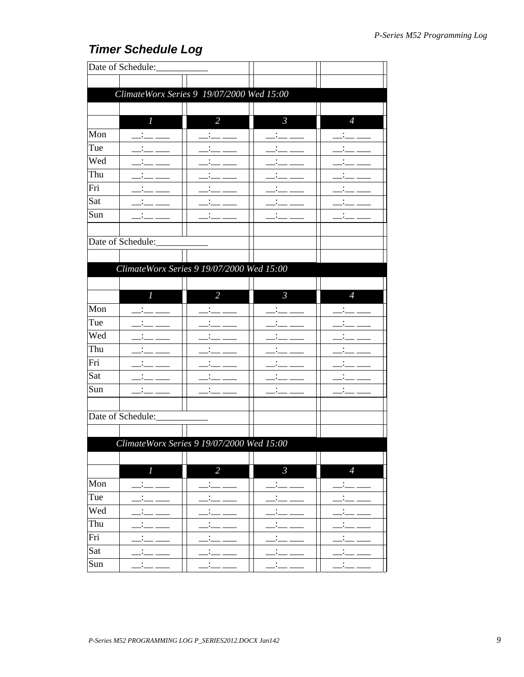## <span id="page-8-0"></span>**Timer Schedule Log**

|     | Date of Schedule:                         |                |                |                |
|-----|-------------------------------------------|----------------|----------------|----------------|
|     |                                           |                |                |                |
|     | ClimateWorx Series 9 19/07/2000 Wed 15:00 |                |                |                |
|     |                                           |                |                |                |
|     | $\boldsymbol{l}$                          | $\overline{2}$ | $\mathfrak{Z}$ | $\overline{4}$ |
| Mon |                                           |                |                |                |
| Tue |                                           |                |                |                |
| Wed |                                           |                |                |                |
| Thu |                                           |                |                |                |
| Fri |                                           |                |                |                |
| Sat |                                           |                |                |                |
| Sun |                                           |                |                |                |
|     |                                           |                |                |                |
|     | Date of Schedule:                         |                |                |                |
|     |                                           |                |                |                |
|     | ClimateWorx Series 9 19/07/2000 Wed 15:00 |                |                |                |
|     |                                           |                |                |                |
|     | $\overline{l}$                            | $\overline{2}$ | $\mathfrak{Z}$ | $\overline{4}$ |
| Mon |                                           |                |                |                |
| Tue |                                           |                |                |                |
| Wed |                                           |                |                |                |
| Thu |                                           |                |                |                |
| Fri |                                           |                |                |                |
| Sat |                                           |                |                |                |
| Sun |                                           |                |                |                |
|     |                                           |                |                |                |
|     | Date of Schedule:                         |                |                |                |
|     |                                           |                |                |                |
|     | ClimateWorx Series 9 19/07/2000 Wed 15:00 |                |                |                |
|     |                                           |                |                |                |
|     | $\boldsymbol{l}$                          | $\overline{2}$ | $\mathfrak{Z}$ | $\overline{4}$ |
| Mon |                                           |                |                |                |
| Tue |                                           |                | ٠              |                |
| Wed |                                           |                |                |                |
| Thu |                                           |                |                |                |
| Fri |                                           |                |                |                |
| Sat |                                           |                |                |                |
| Sun | $\bullet$                                 | ۰              | $\bullet$      |                |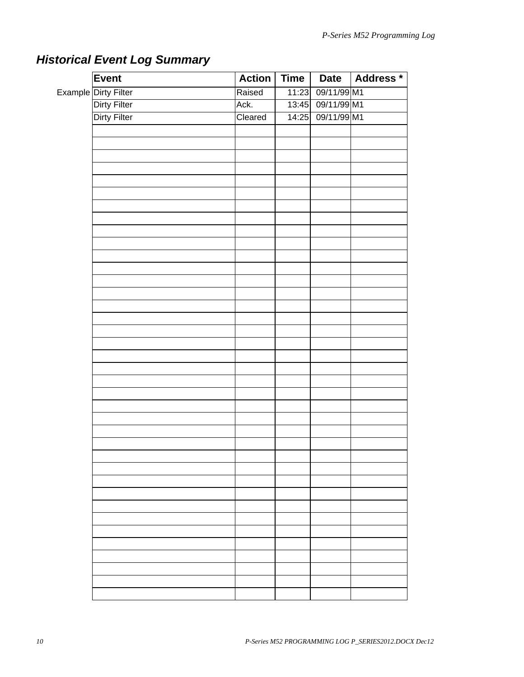| Event                |         |                   | Action   Time   Date   Address * |
|----------------------|---------|-------------------|----------------------------------|
| Example Dirty Filter | Raised  | 11:23 09/11/99 M1 |                                  |
| <b>Dirty Filter</b>  | Ack.    | 13:45 09/11/99 M1 |                                  |
| Dirty Filter         | Cleared | 14:25 09/11/99 M1 |                                  |
|                      |         |                   |                                  |
|                      |         |                   |                                  |
|                      |         |                   |                                  |
|                      |         |                   |                                  |
|                      |         |                   |                                  |
|                      |         |                   |                                  |
|                      |         |                   |                                  |
|                      |         |                   |                                  |
|                      |         |                   |                                  |
|                      |         |                   |                                  |
|                      |         |                   |                                  |
|                      |         |                   |                                  |
|                      |         |                   |                                  |
|                      |         |                   |                                  |
|                      |         |                   |                                  |
|                      |         |                   |                                  |
|                      |         |                   |                                  |
|                      |         |                   |                                  |
|                      |         |                   |                                  |
|                      |         |                   |                                  |
|                      |         |                   |                                  |
|                      |         |                   |                                  |
|                      |         |                   |                                  |
|                      |         |                   |                                  |
|                      |         |                   |                                  |
|                      |         |                   |                                  |
|                      |         |                   |                                  |
|                      |         |                   |                                  |
|                      |         |                   |                                  |
|                      |         |                   |                                  |
|                      |         |                   |                                  |
|                      |         |                   |                                  |
|                      |         |                   |                                  |
|                      |         |                   |                                  |
|                      |         |                   |                                  |
|                      |         |                   |                                  |
|                      |         |                   |                                  |
|                      |         |                   |                                  |
|                      |         |                   |                                  |

## <span id="page-9-0"></span>*Historical Event Log Summary*